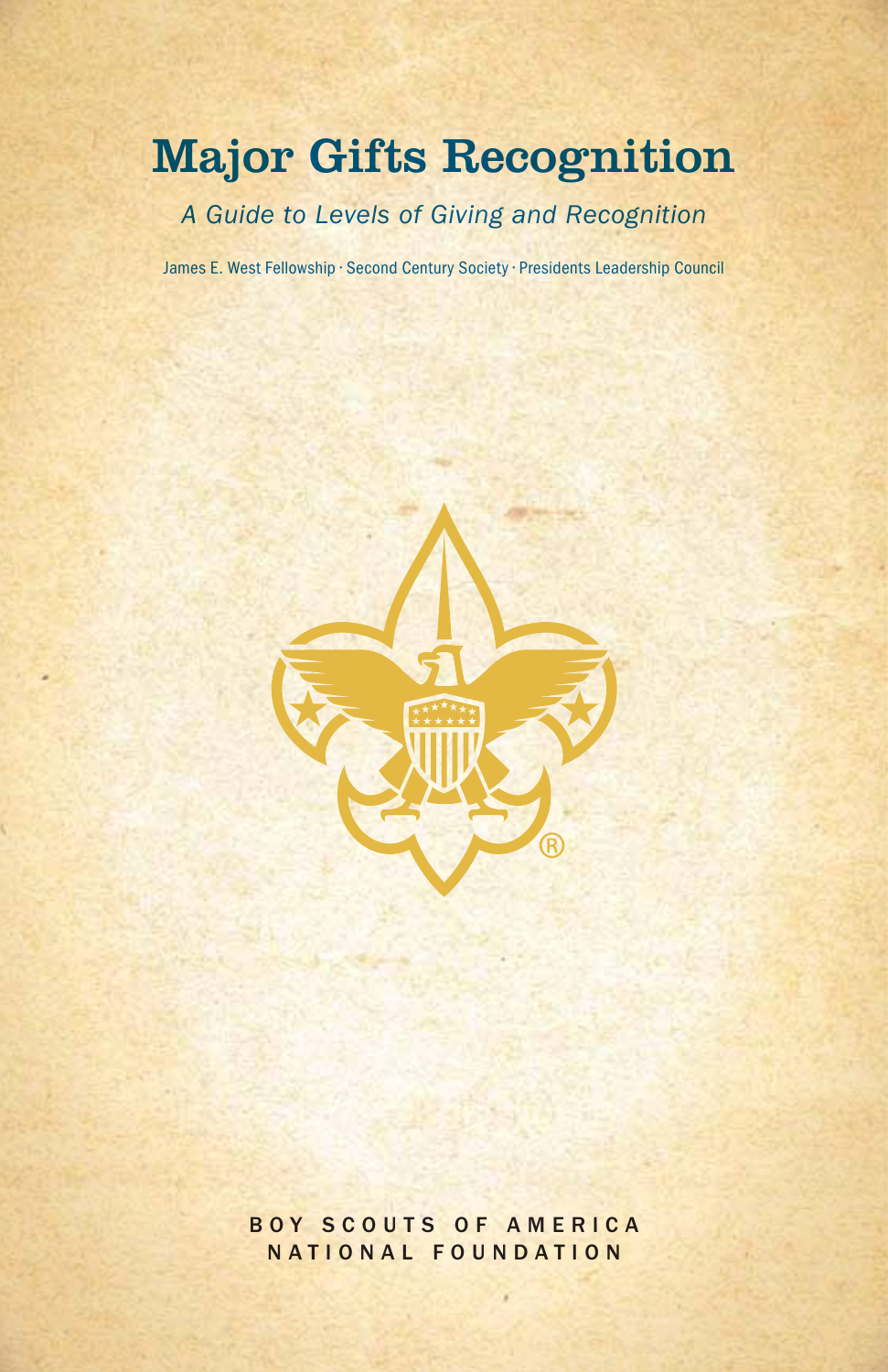# Major Gifts Recognition

*A Guide to Levels of Giving and Recognition*

James E. West Fellowship • Second Century Society • Presidents Leadership Council



BOY SCOUTS OF AMERICA N A TIONAL FOUNDATION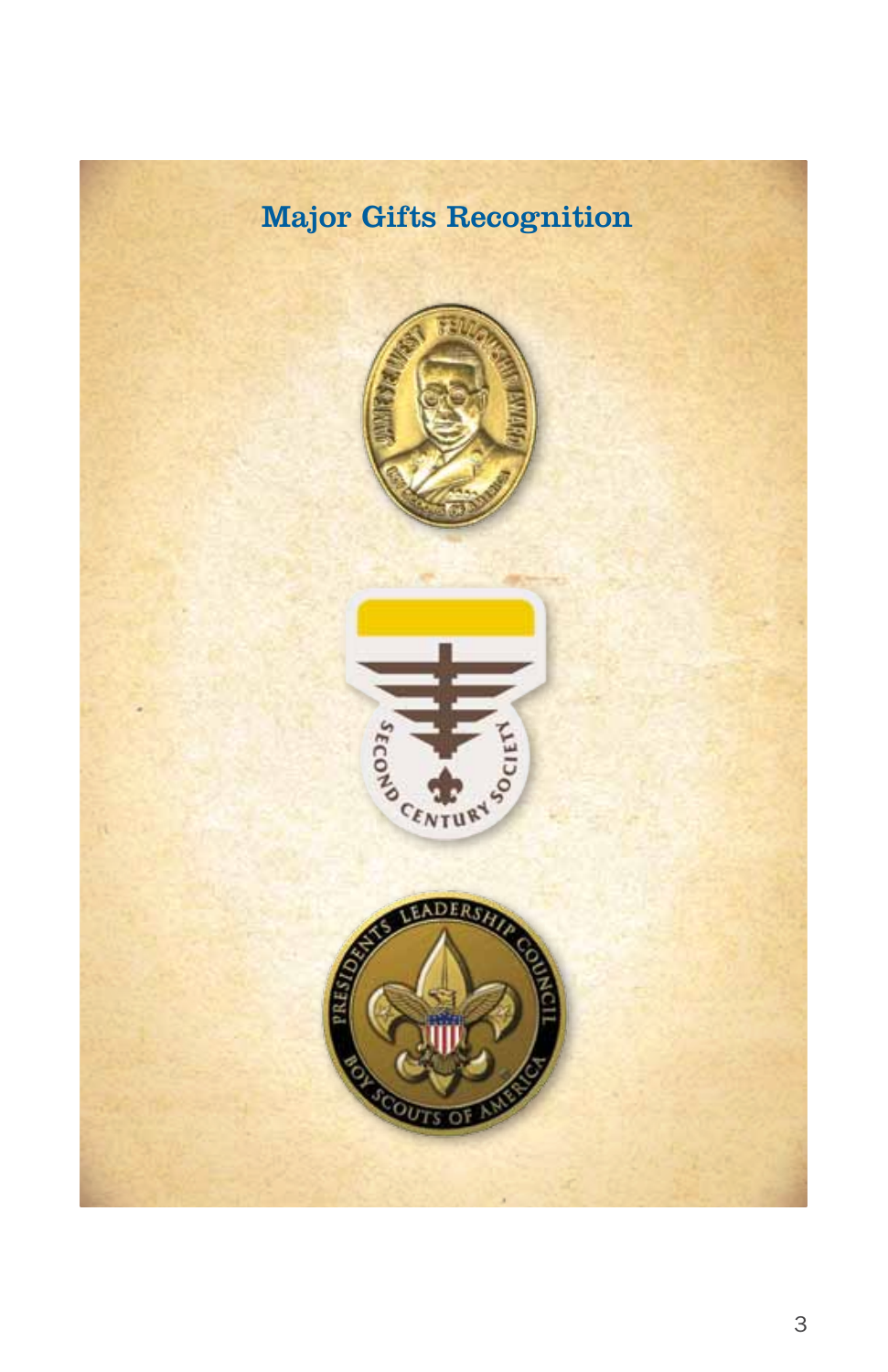# Major Gifts Recognition





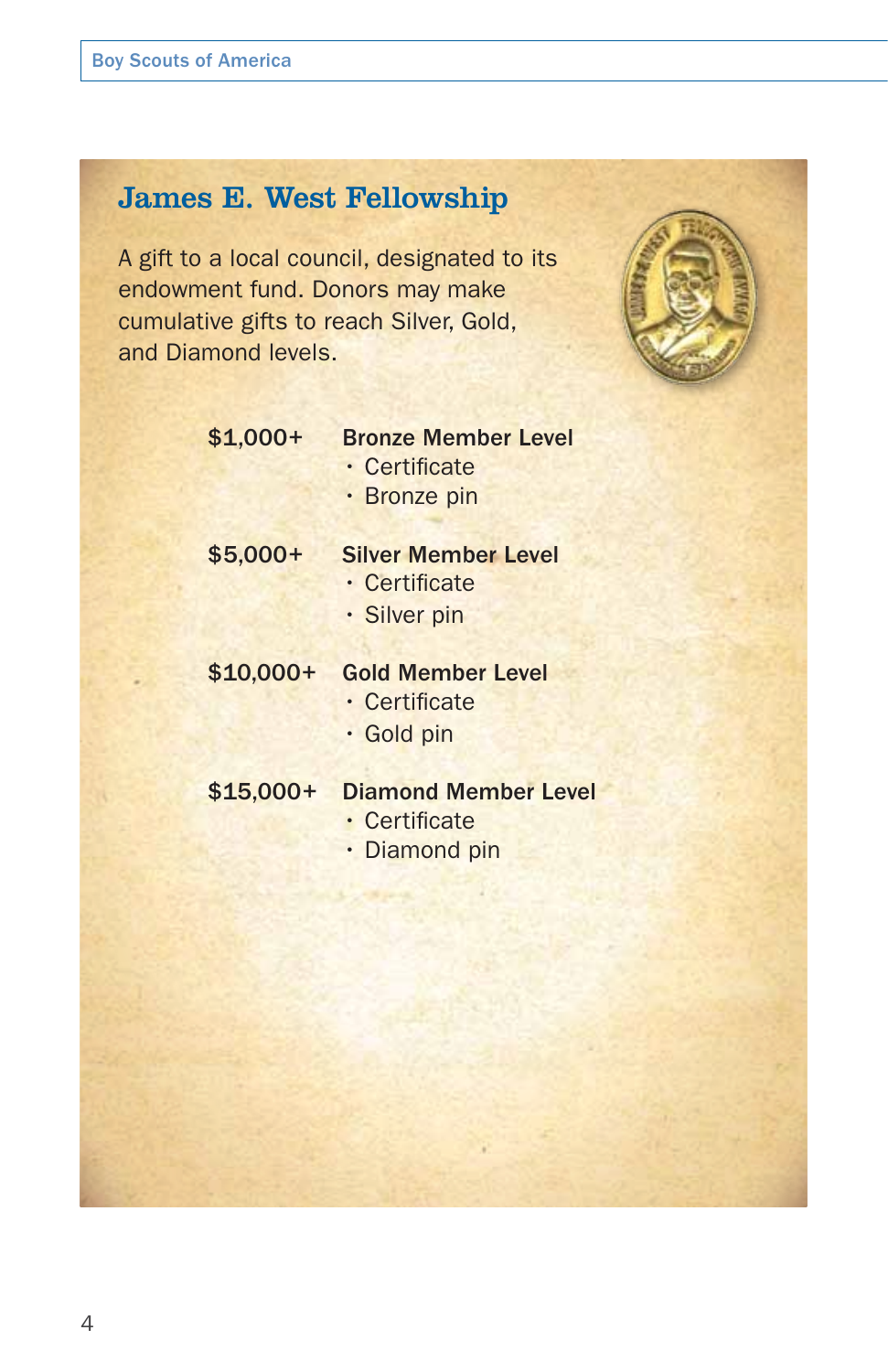# James E. West Fellowship

A gift to a local council, designated to its endowment fund. Donors may make cumulative gifts to reach Silver, Gold, and Diamond levels.



| \$1,000+ | <b>Bronze Member Level</b> |
|----------|----------------------------|
|          | · Certificate              |
|          |                            |

• Bronze pin

\$5,000+ Silver Member Level

- Certificate
- Silver pin

### \$10,000+ Gold Member Level

- Certificate
- Gold pin

- \$15,000+ Diamond Member Level
	- Certificate
	- Diamond pin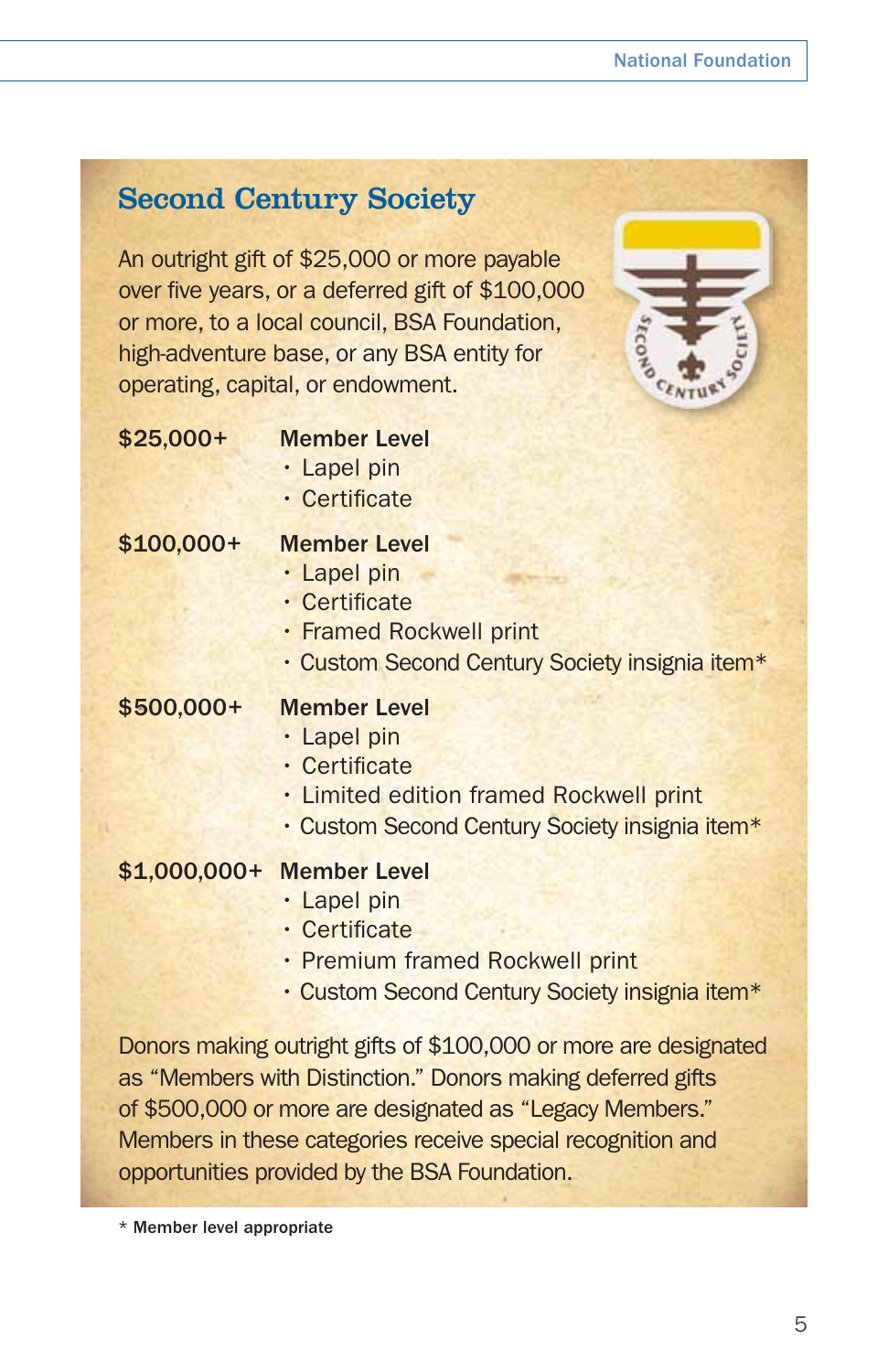# Second Century Society

An outright gift of \$25,000 or more payable over five years, or a deferred gift of \$100,000 or more, to a local council, BSA Foundation, high-adventure base, or any BSA entity for operating, capital, or endowment.



#### \$25,000+ Member Level

- Lapel pin
- Certificate

### \$100,000+ Member Level

- Lapel pin
- Certificate
- Framed Rockwell print
- Custom Second Century Society insignia item\*

#### \$500,000+ Member Level

- Lapel pin
- Certificate
- Limited edition framed Rockwell print
- Custom Second Century Society insignia item\*
- \$1,000,000+ Member Level
	- Lapel pin
	- Certificate
	- Premium framed Rockwell print
	- Custom Second Century Society insignia item\*

Donors making outright gifts of \$100,000 or more are designated as "Members with Distinction." Donors making deferred gifts of \$500,000 or more are designated as "Legacy Members." Members in these categories receive special recognition and opportunities provided by the BSA Foundation.

\* Member level appropriate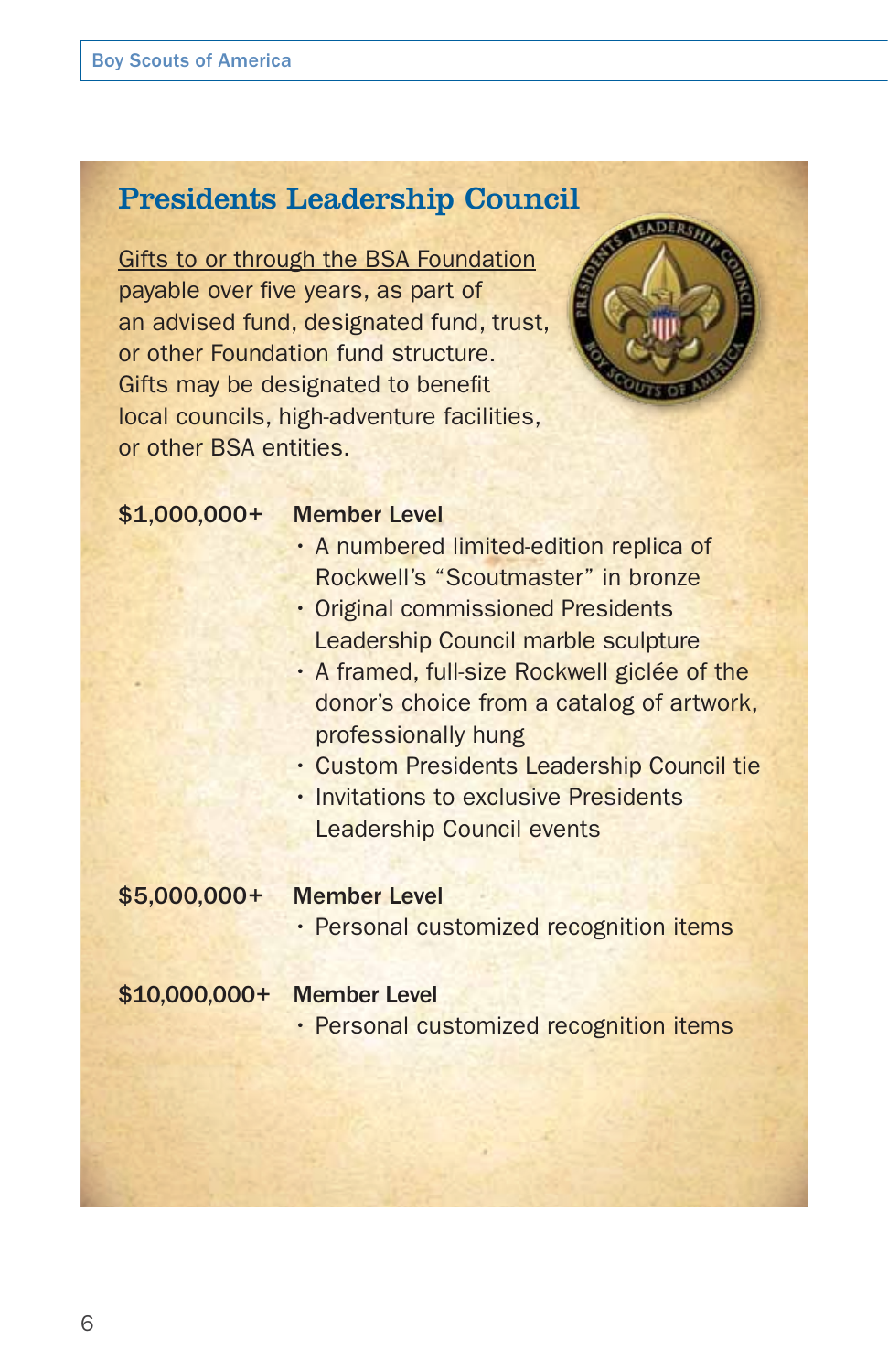## Presidents Leadership Council

Gifts to or through the BSA Foundation payable over five years, as part of an advised fund, designated fund, trust, or other Foundation fund structure. Gifts may be designated to benefit local councils, high-adventure facilities, or other BSA entities.



#### \$1,000,000+ Member Level

- A numbered limited-edition replica of Rockwell's "Scoutmaster" in bronze
- Original commissioned Presidents Leadership Council marble sculpture
- A framed, full-size Rockwell giclée of the donor's choice from a catalog of artwork, professionally hung
- Custom Presidents Leadership Council tie
- Invitations to exclusive Presidents Leadership Council events

#### \$5,000,000+ Member Level

• Personal customized recognition items

\$10,000,000+ Member Level

• Personal customized recognition items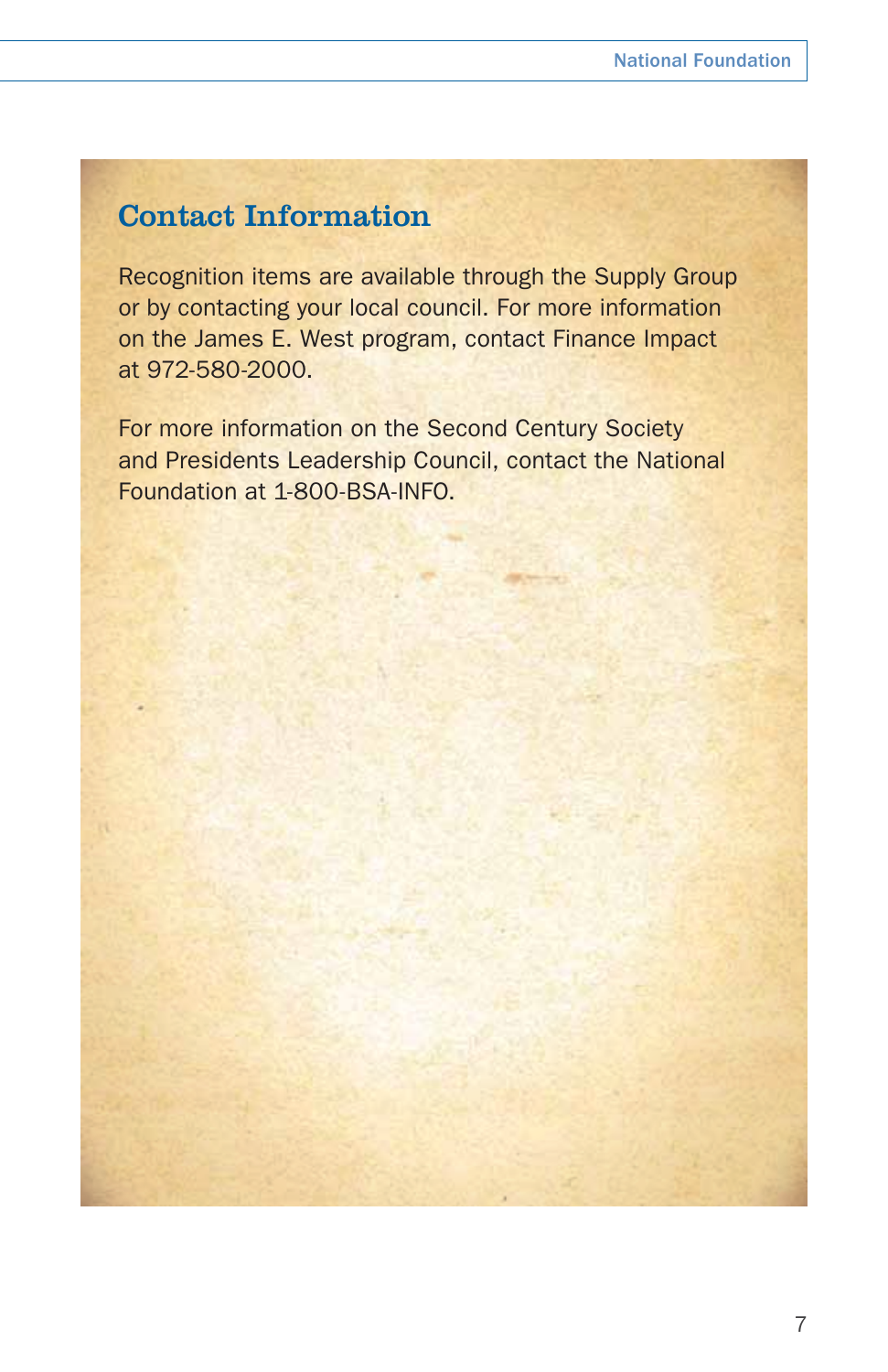## Contact Information

Recognition items are available through the Supply Group or by contacting your local council. For more information on the James E. West program, contact Finance Impact at 972-580-2000.

For more information on the Second Century Society and Presidents Leadership Council, contact the National Foundation at 1-800-BSA-INFO.